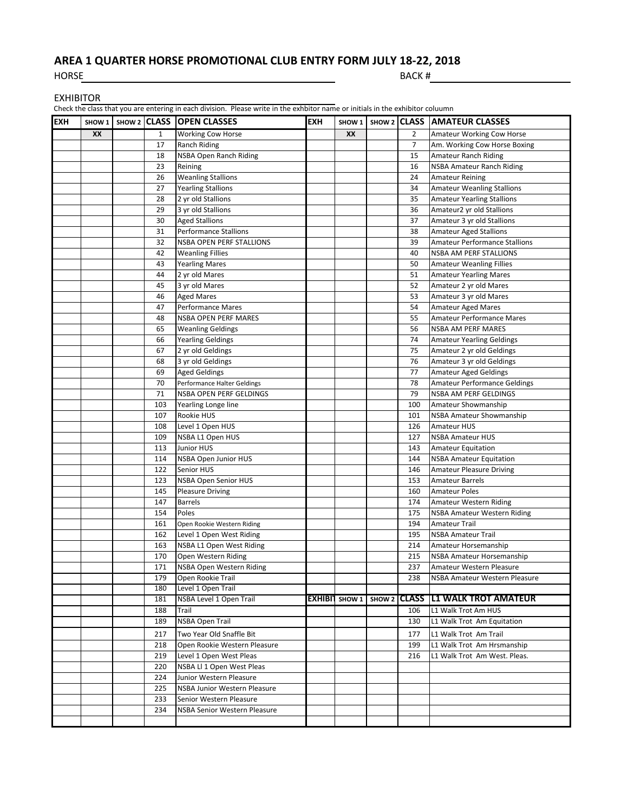## **AREA 1 QUARTER HORSE PROMOTIONAL CLUB ENTRY FORM JULY 18-22, 2018**

HORSE BACK #

| <b>EXHIBITOR</b> |  |  |
|------------------|--|--|
|------------------|--|--|

**EXH SHOW 1 SHOW 2 CLASS OPEN CLASSES EXH SHOW 1 SHOW 2 CLASS AMATEUR CLASSES XX** 1 Working Cow Horse **XX** 2 Amateur Working Cow Horse 17 Ranch Riding **7 Am. Working Cow Horse Boxing** 18 NSBA Open Ranch Riding 15 Amateur Ranch Riding 23 Reining 20 Reining 20 Reining 20 Reining 20 Reining 20 Reining 20 Reining 20 Reining 20 Reining 20 Reining 20 Reining 20 Reining 20 Reining 20 Reining 20 Reining 20 Reining 20 Reining 20 Reining 20 Reining 20 Reining 20 26 Weanling Stallions 24 Amateur Reining 27 Yearling Stallions 27 Yearling Stallions 27 Yearling Stallions 28 2 yr old Stallions 35 Amateur Yearling Stallions 29 3 yr old Stallions 36 Amateur2 yr old Stallions 30 Aged Stallions 37 Amateur 3 yr old Stallions 31 Performance Stallions 38 Amateur Aged Stallions 32 NSBA OPEN PERF STALLIONS 39 Amateur Performance Stallions 42 Weanling Fillies **40 NSBA AM PERF STALLIONS** 43 Yearling Mares 50 Amateur Weanling Fillies 44 2 yr old Mares 51 Amateur Yearling Mares 45 3 yr old Mares 62 Amateur 2 yr old Mares 46 Aged Mares **19 Amateur 3 yr old Mares 19 Amateur 3 yr old Mares** 47 Performance Mares 64 Amateur Aged Mares 64 Amateur Aged Mares 48 NSBA OPEN PERF MARES 55 Amateur Performance Mares 65 Weanling Geldings The Communication of the U.S. of the U.S. of the U.S. of the U.S. of the U.S. of the U.S. of the U.S. of the U.S. of the U.S. of the U.S. of the U.S. of the U.S. of the U.S. of the U.S. of the U.S. of 66 Yearling Geldings 74 Amateur Yearling Geldings 67 2 yr old Geldings 75 Amateur 2 yr old Geldings 68 3 yr old Geldings 76 Amateur 3 yr old Geldings 69 Aged Geldings 77 Amateur Aged Geldings 70 Performance Halter Geldings 78 Amateur Performance Geldings 71 NSBA OPEN PERF GELDINGS **1989 | 1989 | 1989 | 1989** | NSBA AM PERF GELDINGS 103 Yearling Longe line 100 Amateur Showmanship 107 Rookie HUS 101 NSBA Amateur Showmanship 108 Level 1 Open HUS **126 Amateur HUS** 109 NSBA L1 Open HUS 127 NSBA Amateur HUS 113 Junior HUS **143 Amateur Equitation** 114 NSBA Open Junior HUS 144 NSBA Amateur Equitation 122 Senior HUS **146 Amateur Pleasure Driving** 123 NSBA Open Senior HUS 153 Amateur Barrels 145 Pleasure Driving **160 Amateur Poles** 147 Barrels **174 Amateur Western Riding** 154 Poles 2012 Poles 2014 Poles 2014 175 NSBA Amateur Western Riding 161 Open Rookie Western Riding 194 Amateur Trail 162 Level 1 Open West Riding 195 NSBA Amateur Trail 163 NSBA L1 Open West Riding 214 Amateur Horsemanship 170 Open Western Riding 215 NSBA Amateur Horsemanship 171 NSBA Open Western Riding 237 Amateur Western Pleasure 179 Open Rookie Trail 238 NSBA Amateur Western Pleasure 180 Level 1 Open Trail 181 NSBA Level 1 Open Trail **EXHIBIT SHOW 1 SHOW 2 CLASS L1 WALK TROT AMATEUR** 188 Trail 106 L1 Walk Trot Am HUS<br>189 NSBA Open Trail 106 L1 Walk Trot Am HUS 189 NSBA Open Trail 130 L1 Walk Trot Am Equitation 217 Two Year Old Snaffle Bit 177 L1 Walk Trot Am Trail 218 Open Rookie Western Pleasure 199 | 199 L1 Walk Trot Am Hrsmanship 219 Level 1 Open West Pleas 216 L1 Walk Trot Am West. Pleas. 220 NSBA Ll 1 Open West Pleas 224 Junior Western Pleasure 225 NSBA Junior Western Pleasure 233 Senior Western Pleasure 234 NSBA Senior Western Pleasure Check the class that you are entering in each division. Please write in the exhbitor name or initials in the exhibitor coluumn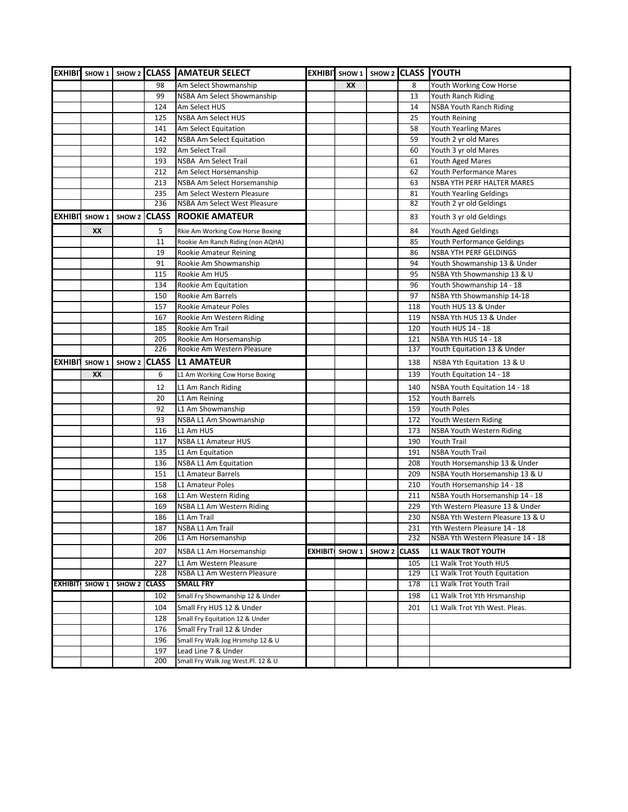|                |                        |              |              | EXHIBIT SHOW 1   SHOW 2 CLASS   AMATEUR SELECT |                       |                   |              | EXHIBI SHOW 1 SHOW 2 CLASS YOUTH  |
|----------------|------------------------|--------------|--------------|------------------------------------------------|-----------------------|-------------------|--------------|-----------------------------------|
|                |                        |              | 98           | Am Select Showmanship                          | XX                    |                   | 8            | Youth Working Cow Horse           |
|                |                        |              | 99           | NSBA Am Select Showmanship                     |                       |                   | 13           | Youth Ranch Riding                |
|                |                        |              | 124          | Am Select HUS                                  |                       |                   | 14           | <b>NSBA Youth Ranch Riding</b>    |
|                |                        |              | 125          | <b>NSBA Am Select HUS</b>                      |                       |                   | 25           | <b>Youth Reining</b>              |
|                |                        |              | 141          | Am Select Equitation                           |                       |                   | 58           | <b>Youth Yearling Mares</b>       |
|                |                        |              | 142          | <b>NSBA Am Select Equitation</b>               |                       |                   | 59           | Youth 2 yr old Mares              |
|                |                        |              | 192          | Am Select Trail                                |                       |                   | 60           | Youth 3 yr old Mares              |
|                |                        |              | 193          | NSBA Am Select Trail                           |                       |                   | 61           | Youth Aged Mares                  |
|                |                        |              | 212          | Am Select Horsemanship                         |                       |                   | 62           | <b>Youth Performance Mares</b>    |
|                |                        |              | 213          | NSBA Am Select Horsemanship                    |                       |                   | 63           | <b>NSBA YTH PERF HALTER MARES</b> |
|                |                        |              | 235          | Am Select Western Pleasure                     |                       |                   | 81           | Youth Yearling Geldings           |
|                |                        |              | 236          | NSBA Am Select West Pleasure                   |                       |                   | 82           | Youth 2 yr old Geldings           |
| <b>EXHIBIT</b> | SHOW 1                 | SHOW 2       | <b>CLASS</b> | <b>ROOKIE AMATEUR</b>                          |                       |                   | 83           | Youth 3 yr old Geldings           |
|                | XX                     |              | 5            | Rkie Am Working Cow Horse Boxing               |                       |                   | 84           | Youth Aged Geldings               |
|                |                        |              | 11           | Rookie Am Ranch Riding (non AQHA)              |                       |                   | 85           | Youth Performance Geldings        |
|                |                        |              | 19           | Rookie Amateur Reining                         |                       |                   | 86           | NSBA YTH PERF GELDINGS            |
|                |                        |              | 91           | Rookie Am Showmanship                          |                       |                   | 94           | Youth Showmanship 13 & Under      |
|                |                        |              | 115          | Rookie Am HUS                                  |                       |                   | 95           | NSBA Yth Showmanship 13 & U       |
|                |                        |              | 134          | Rookie Am Equitation                           |                       |                   | 96           | Youth Showmanship 14 - 18         |
|                |                        |              | 150          | Rookie Am Barrels                              |                       |                   | 97           | NSBA Yth Showmanship 14-18        |
|                |                        |              | 157          | Rookie Amateur Poles                           |                       |                   | 118          | Youth HUS 13 & Under              |
|                |                        |              | 167          | Rookie Am Western Riding                       |                       |                   | 119          | NSBA Yth HUS 13 & Under           |
|                |                        |              | 185          | Rookie Am Trail                                |                       |                   | 120          | Youth HUS 14 - 18                 |
|                |                        |              | 205          | Rookie Am Horsemanship                         |                       |                   | 121          | NSBA Yth HUS 14 - 18              |
|                |                        |              | 226          | Rookie Am Western Pleasure                     |                       |                   | 137          | Youth Equitation 13 & Under       |
|                | <b>EXHIBIT SHOW 1</b>  |              | SHOW 2 CLASS | <b>IL1 AMATEUR</b>                             |                       |                   | 138          | NSBA Yth Equitation 13 & U        |
|                | XX                     |              | 6            | L1 Am Working Cow Horse Boxing                 |                       |                   | 139          | Youth Equitation 14 - 18          |
|                |                        |              | 12           | L1 Am Ranch Riding                             |                       |                   | 140          | NSBA Youth Equitation 14 - 18     |
|                |                        |              | 20           | L1 Am Reining                                  |                       |                   | 152          | <b>Youth Barrels</b>              |
|                |                        |              | 92           | L1 Am Showmanship                              |                       |                   | 159          | Youth Poles                       |
|                |                        |              | 93           | NSBA L1 Am Showmanship                         |                       |                   | 172          | Youth Western Riding              |
|                |                        |              | 116          | L1 Am HUS                                      |                       |                   | 173          | <b>NSBA Youth Western Riding</b>  |
|                |                        |              | 117          | NSBA L1 Amateur HUS                            |                       |                   | 190          | <b>Youth Trail</b>                |
|                |                        |              | 135          | L1 Am Equitation                               |                       |                   | 191          | <b>NSBA Youth Trail</b>           |
|                |                        |              | 136          | <b>NSBA L1 Am Equitation</b>                   |                       |                   | 208          | Youth Horsemanship 13 & Under     |
|                |                        |              | 151          | L1 Amateur Barrels                             |                       |                   | 209          | NSBA Youth Horsemanship 13 & U    |
|                |                        |              | 158          | <b>L1 Amateur Poles</b>                        |                       |                   | 210          | Youth Horsemanship 14 - 18        |
|                |                        |              | 168          | L1 Am Western Riding                           |                       |                   | 211          | NSBA Youth Horsemanship 14 - 18   |
|                |                        |              | 169          | NSBA L1 Am Western Riding                      |                       |                   | 229          | Yth Western Pleasure 13 & Under   |
|                |                        |              | 186          | L1 Am Trail                                    |                       |                   | 230          | NSBA Yth Western Pleasure 13 & U  |
|                |                        |              | 187          | NSBA L1 Am Trail                               |                       |                   | 231          | Yth Western Pleasure 14 - 18      |
|                |                        |              | 206          | L1 Am Horsemanship                             |                       |                   | 232          | NSBA Yth Western Pleasure 14 - 18 |
|                |                        |              | 207          | NSBA L1 Am Horsemanship                        | <b>EXHIBIT SHOW 1</b> | SHOW <sub>2</sub> | <b>CLASS</b> | <b>L1 WALK TROT YOUTH</b>         |
|                |                        |              | 227          | L1 Am Western Pleasure                         |                       |                   | 105          | L1 Walk Trot Youth HUS            |
|                |                        |              | 228          | NSBA L1 Am Western Pleasure                    |                       |                   | 129          | L1 Walk Trot Youth Equitation     |
|                | <b>EXHIBITI SHOW 1</b> | SHOW 2 CLASS |              | <b>SMALL FRY</b>                               |                       |                   | 178          | L1 Walk Trot Youth Trail          |
|                |                        |              | 102          | Small Fry Showmanship 12 & Under               |                       |                   | 198          | L1 Walk Trot Yth Hrsmanship       |
|                |                        |              | 104          | Small Fry HUS 12 & Under                       |                       |                   | 201          | L1 Walk Trot Yth West. Pleas.     |
|                |                        |              | 128          | Small Fry Equitation 12 & Under                |                       |                   |              |                                   |
|                |                        |              | 176          | Small Fry Trail 12 & Under                     |                       |                   |              |                                   |
|                |                        |              | 196          | Small Fry Walk Jog Hrsmshp 12 & U              |                       |                   |              |                                   |
|                |                        |              | 197          | Lead Line 7 & Under                            |                       |                   |              |                                   |
|                |                        |              | 200          | Small Fry Walk Jog West.Pl. 12 & U             |                       |                   |              |                                   |